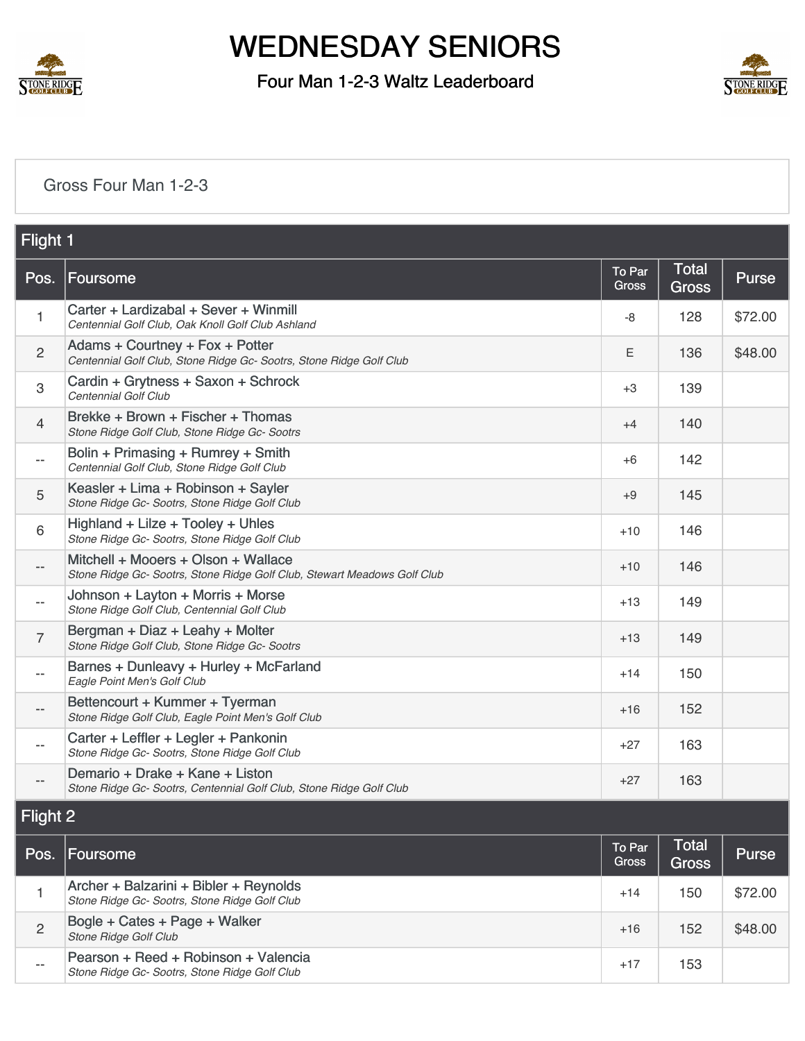

Four Man 1-2-3 Waltz Leaderboard



#### [Gross Four Man 1-2-3](https://static.golfgenius.com/v2tournaments/8485792683036539404?called_from=&round_index=39)

| Flight 1                 |                                                                                                                 |                        |                              |              |  |
|--------------------------|-----------------------------------------------------------------------------------------------------------------|------------------------|------------------------------|--------------|--|
| Pos.                     | Foursome                                                                                                        | To Par<br><b>Gross</b> | <b>Total</b><br><b>Gross</b> | Purse        |  |
| 1                        | Carter + Lardizabal + Sever + Winmill<br>Centennial Golf Club, Oak Knoll Golf Club Ashland                      | -8                     | 128                          | \$72.00      |  |
| $\overline{c}$           | Adams + Courtney + Fox + Potter<br>Centennial Golf Club, Stone Ridge Gc- Sootrs, Stone Ridge Golf Club          | Ε                      | 136                          | \$48.00      |  |
| $\,3$                    | Cardin + Grytness + Saxon + Schrock<br>Centennial Golf Club                                                     | $+3$                   | 139                          |              |  |
| $\overline{4}$           | Brekke + Brown + Fischer + Thomas<br>Stone Ridge Golf Club, Stone Ridge Gc- Sootrs                              | $+4$                   | 140                          |              |  |
| $\overline{\phantom{a}}$ | Bolin + Primasing + Rumrey + Smith<br>Centennial Golf Club, Stone Ridge Golf Club                               | +6                     | 142                          |              |  |
| 5                        | Keasler + Lima + Robinson + Sayler<br>Stone Ridge Gc- Sootrs, Stone Ridge Golf Club                             | $+9$                   | 145                          |              |  |
| 6                        | Highland + Lilze + Tooley + Uhles<br>Stone Ridge Gc- Sootrs, Stone Ridge Golf Club                              | $+10$                  | 146                          |              |  |
| $\overline{\phantom{m}}$ | Mitchell + Mooers + Olson + Wallace<br>Stone Ridge Gc- Sootrs, Stone Ridge Golf Club, Stewart Meadows Golf Club | $+10$                  | 146                          |              |  |
| $\overline{\phantom{a}}$ | Johnson + Layton + Morris + Morse<br>Stone Ridge Golf Club, Centennial Golf Club                                | +13                    | 149                          |              |  |
| $\overline{7}$           | Bergman + Diaz + Leahy + Molter<br>Stone Ridge Golf Club, Stone Ridge Gc- Sootrs                                | $+13$                  | 149                          |              |  |
| $\overline{\phantom{m}}$ | Barnes + Dunleavy + Hurley + McFarland<br>Eagle Point Men's Golf Club                                           | $+14$                  | 150                          |              |  |
| $\overline{\phantom{m}}$ | Bettencourt + Kummer + Tyerman<br>Stone Ridge Golf Club, Eagle Point Men's Golf Club                            | +16                    | 152                          |              |  |
| $\overline{\phantom{a}}$ | Carter + Leffler + Legler + Pankonin<br>Stone Ridge Gc- Sootrs, Stone Ridge Golf Club                           | $+27$                  | 163                          |              |  |
| --                       | Demario + Drake + Kane + Liston<br>Stone Ridge Gc- Sootrs, Centennial Golf Club, Stone Ridge Golf Club          | $+27$                  | 163                          |              |  |
| Flight 2                 |                                                                                                                 |                        |                              |              |  |
| Pos.                     | Foursome                                                                                                        | To Par<br><b>Gross</b> | <b>Total</b><br><b>Gross</b> | <b>Purse</b> |  |
| 1                        | Archer + Balzarini + Bibler + Reynolds<br>Stone Ridge Gc- Sootrs, Stone Ridge Golf Club                         | $+14$                  | 150                          | \$72.00      |  |
| $\overline{2}$           | Bogle + Cates + Page + Walker<br>Stone Ridge Golf Club                                                          | $+16$                  | 152                          | \$48.00      |  |
| $\overline{\phantom{a}}$ | Pearson + Reed + Robinson + Valencia<br>Stone Ridge Gc- Sootrs, Stone Ridge Golf Club                           | $+17$                  | 153                          |              |  |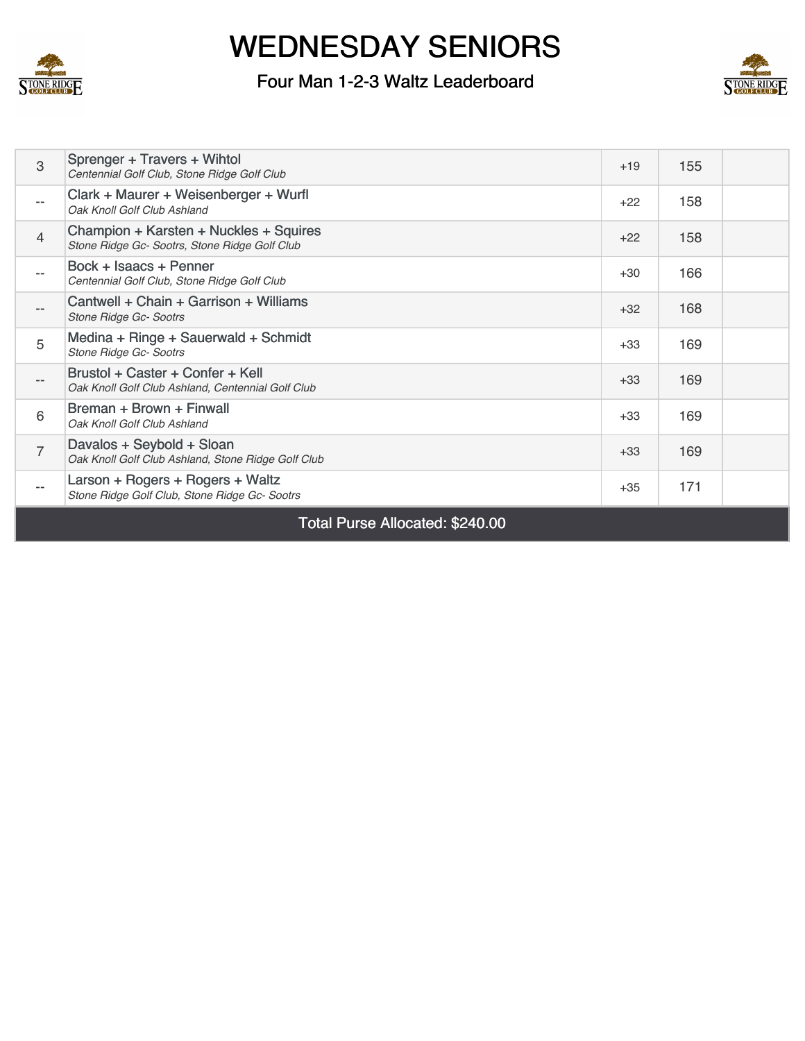

### Four Man 1-2-3 Waltz Leaderboard



| 3                 | Sprenger + Travers + Wihtol<br>Centennial Golf Club, Stone Ridge Golf Club              | $+19$ | 155 |  |
|-------------------|-----------------------------------------------------------------------------------------|-------|-----|--|
| $- -$             | Clark + Maurer + Weisenberger + Wurfl<br>Oak Knoll Golf Club Ashland                    | $+22$ | 158 |  |
| $\overline{4}$    | Champion + Karsten + Nuckles + Squires<br>Stone Ridge Gc- Sootrs, Stone Ridge Golf Club | $+22$ | 158 |  |
| $- -$             | Bock + Isaacs + Penner<br>Centennial Golf Club, Stone Ridge Golf Club                   | $+30$ | 166 |  |
| $- -$             | Cantwell + Chain + Garrison + Williams<br><b>Stone Ridge Gc- Sootrs</b>                 | $+32$ | 168 |  |
| 5                 | Medina + Ringe + Sauerwald + Schmidt<br>Stone Ridge Gc- Sootrs                          | $+33$ | 169 |  |
|                   | Brustol + Caster + Confer + Kell<br>Oak Knoll Golf Club Ashland, Centennial Golf Club   | $+33$ | 169 |  |
| 6                 | Breman + Brown + Finwall<br>Oak Knoll Golf Club Ashland                                 | $+33$ | 169 |  |
| $\overline{7}$    | Davalos + Seybold + Sloan<br>Oak Knoll Golf Club Ashland, Stone Ridge Golf Club         | $+33$ | 169 |  |
| $\qquad \qquad -$ | Larson + Rogers + Rogers + Waltz<br>Stone Ridge Golf Club, Stone Ridge Gc- Sootrs       | $+35$ | 171 |  |
|                   |                                                                                         |       |     |  |

Total Purse Allocated: \$240.00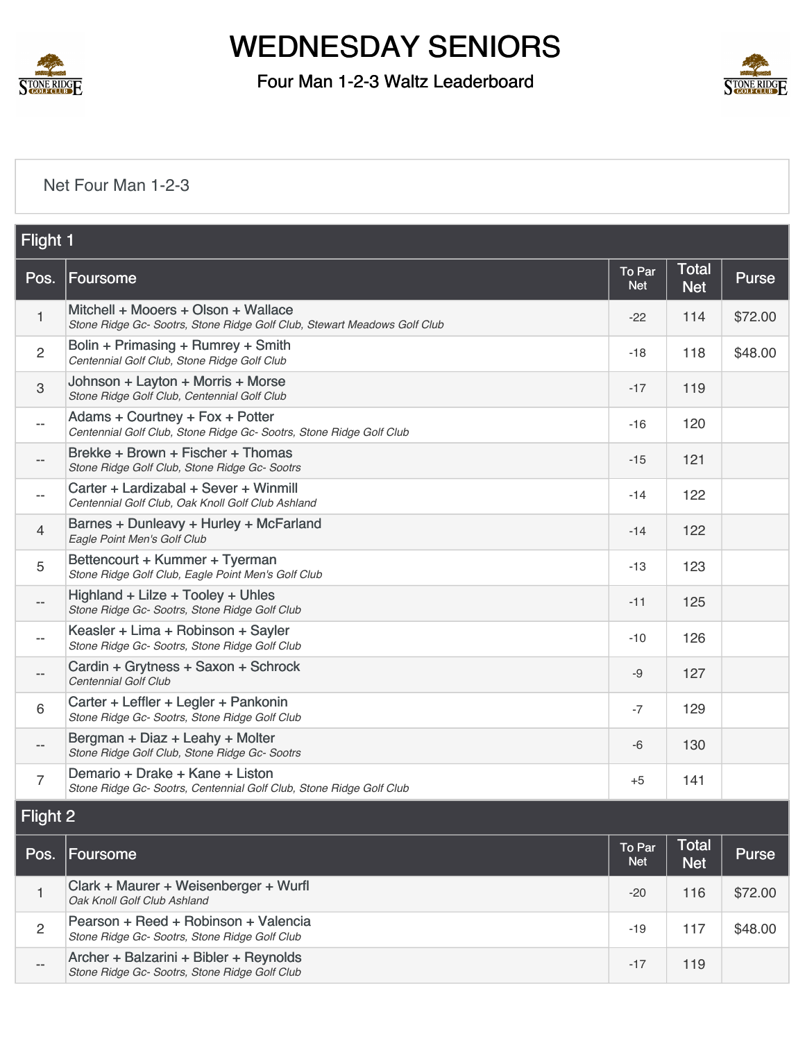

Four Man 1-2-3 Waltz Leaderboard



#### [Net Four Man 1-2-3](https://static.golfgenius.com/v2tournaments/8485792687834823181?called_from=&round_index=39)

|                          | Flight 1                                                                                                        |                      |                            |              |  |  |
|--------------------------|-----------------------------------------------------------------------------------------------------------------|----------------------|----------------------------|--------------|--|--|
| Pos.                     | <b>Foursome</b>                                                                                                 | To Par<br><b>Net</b> | <b>Total</b><br><b>Net</b> | <b>Purse</b> |  |  |
| 1                        | Mitchell + Mooers + Olson + Wallace<br>Stone Ridge Gc- Sootrs, Stone Ridge Golf Club, Stewart Meadows Golf Club | $-22$                | 114                        | \$72.00      |  |  |
| $\overline{2}$           | Bolin + Primasing + Rumrey + Smith<br>Centennial Golf Club, Stone Ridge Golf Club                               | $-18$                | 118                        | \$48.00      |  |  |
| 3                        | Johnson + Layton + Morris + Morse<br>Stone Ridge Golf Club, Centennial Golf Club                                | $-17$                | 119                        |              |  |  |
| $\overline{\phantom{a}}$ | Adams + Courtney + Fox + Potter<br>Centennial Golf Club, Stone Ridge Gc- Sootrs, Stone Ridge Golf Club          | $-16$                | 120                        |              |  |  |
| $\qquad \qquad -$        | Brekke + Brown + Fischer + Thomas<br>Stone Ridge Golf Club, Stone Ridge Gc- Sootrs                              | $-15$                | 121                        |              |  |  |
| $-$                      | Carter + Lardizabal + Sever + Winmill<br>Centennial Golf Club, Oak Knoll Golf Club Ashland                      | $-14$                | 122                        |              |  |  |
| $\overline{4}$           | Barnes + Dunleavy + Hurley + McFarland<br>Eagle Point Men's Golf Club                                           | $-14$                | 122                        |              |  |  |
| 5                        | Bettencourt + Kummer + Tyerman<br>Stone Ridge Golf Club, Eagle Point Men's Golf Club                            | $-13$                | 123                        |              |  |  |
| $\overline{\phantom{a}}$ | Highland + Lilze + Tooley + Uhles<br>Stone Ridge Gc- Sootrs, Stone Ridge Golf Club                              | $-11$                | 125                        |              |  |  |
| $-$                      | Keasler + Lima + Robinson + Sayler<br>Stone Ridge Gc- Sootrs, Stone Ridge Golf Club                             | $-10$                | 126                        |              |  |  |
| $\overline{\phantom{a}}$ | Cardin + Grytness + Saxon + Schrock<br>Centennial Golf Club                                                     | $-9$                 | 127                        |              |  |  |
| 6                        | Carter + Leffler + Legler + Pankonin<br>Stone Ridge Gc- Sootrs, Stone Ridge Golf Club                           | $-7$                 | 129                        |              |  |  |
| $\overline{\phantom{a}}$ | Bergman + Diaz + Leahy + Molter<br>Stone Ridge Golf Club, Stone Ridge Gc- Sootrs                                | $-6$                 | 130                        |              |  |  |
| $\overline{7}$           | Demario + Drake + Kane + Liston<br>Stone Ridge Gc- Sootrs, Centennial Golf Club, Stone Ridge Golf Club          | $+5$                 | 141                        |              |  |  |
| <b>LI'SP+ U</b>          |                                                                                                                 |                      |                            |              |  |  |

#### Flight 2

| Pos.  | Foursome                                                                                | To Par<br><b>Net</b> | Total'<br><b>Net</b> | <b>Purse</b> |
|-------|-----------------------------------------------------------------------------------------|----------------------|----------------------|--------------|
|       | Clark + Maurer + Weisenberger + Wurfl<br>Oak Knoll Golf Club Ashland                    | -20                  | 116                  | \$72.00      |
| 2     | Pearson + Reed + Robinson + Valencia<br>Stone Ridge Gc- Sootrs, Stone Ridge Golf Club   | $-19$                | 117                  | \$48.00      |
| $- -$ | Archer + Balzarini + Bibler + Reynolds<br>Stone Ridge Gc- Sootrs, Stone Ridge Golf Club | $-17$                | 119                  |              |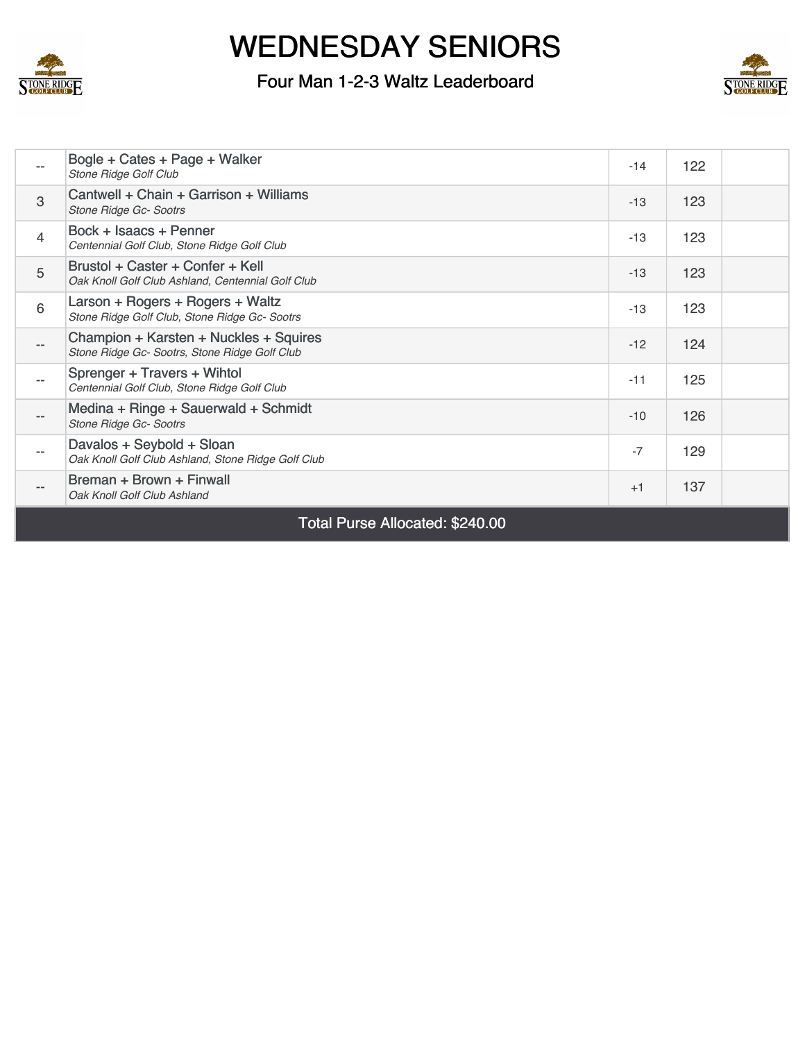

### Four Man 1-2-3 Waltz Leaderboard



|                | Bogle + Cates + Page + Walker<br>Stone Ridge Golf Club                                  | $-14$ | 122 |  |
|----------------|-----------------------------------------------------------------------------------------|-------|-----|--|
| 3              | Cantwell + Chain + Garrison + Williams<br><b>Stone Ridge Gc- Sootrs</b>                 | $-13$ | 123 |  |
| $\overline{4}$ | Bock + Isaacs + Penner<br>Centennial Golf Club, Stone Ridge Golf Club                   | $-13$ | 123 |  |
| 5              | Brustol + Caster + Confer + Kell<br>Oak Knoll Golf Club Ashland, Centennial Golf Club   | $-13$ | 123 |  |
| 6              | Larson + Rogers + Rogers + Waltz<br>Stone Ridge Golf Club, Stone Ridge Gc- Sootrs       | $-13$ | 123 |  |
| $- -$          | Champion + Karsten + Nuckles + Squires<br>Stone Ridge Gc- Sootrs, Stone Ridge Golf Club | $-12$ | 124 |  |
| $ -$           | Sprenger + Travers + Wihtol<br>Centennial Golf Club, Stone Ridge Golf Club              | $-11$ | 125 |  |
| $- -$          | Medina + Ringe + Sauerwald + Schmidt<br>Stone Ridge Gc- Sootrs                          | $-10$ | 126 |  |
| $- -$          | Davalos + Seybold + Sloan<br>Oak Knoll Golf Club Ashland, Stone Ridge Golf Club         | $-7$  | 129 |  |
| $- -$          | Breman + Brown + Finwall<br>Oak Knoll Golf Club Ashland                                 | $+1$  | 137 |  |

Total Purse Allocated: \$240.00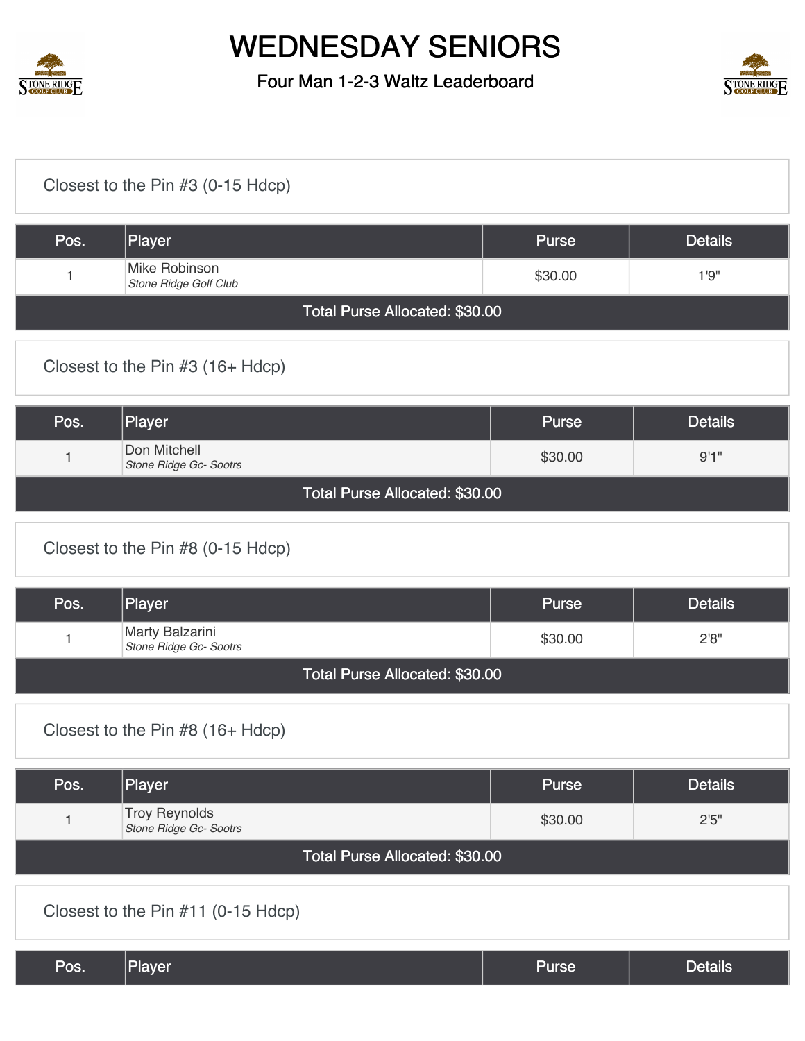

Four Man 1-2-3 Waltz Leaderboard



| Closest to the Pin #3 (0-15 Hdcp) |                                                |              |                |  |  |
|-----------------------------------|------------------------------------------------|--------------|----------------|--|--|
| Pos.                              | Player                                         | <b>Purse</b> | <b>Details</b> |  |  |
| 1                                 | Mike Robinson<br>Stone Ridge Golf Club         | \$30.00      | 1'9''          |  |  |
|                                   | Total Purse Allocated: \$30.00                 |              |                |  |  |
|                                   | Closest to the Pin #3 (16+ Hdcp)               |              |                |  |  |
| Pos.                              | Player                                         | <b>Purse</b> | <b>Details</b> |  |  |
| 1                                 | Don Mitchell<br>Stone Ridge Gc- Sootrs         | \$30.00      | 9'1''          |  |  |
|                                   | Total Purse Allocated: \$30.00                 |              |                |  |  |
|                                   | Closest to the Pin #8 (0-15 Hdcp)              |              |                |  |  |
| Pos.                              | Player                                         | <b>Purse</b> | <b>Details</b> |  |  |
| 1                                 | Marty Balzarini<br>Stone Ridge Gc- Sootrs      | \$30.00      | 2'8''          |  |  |
|                                   | Total Purse Allocated: \$30.00                 |              |                |  |  |
|                                   | Closest to the Pin #8 (16+ Hdcp)               |              |                |  |  |
| Pos.                              | Player                                         | Purse        | <b>Details</b> |  |  |
| $\mathbf{1}$                      | <b>Troy Reynolds</b><br>Stone Ridge Gc- Sootrs | \$30.00      | 2'5''          |  |  |
|                                   | Total Purse Allocated: \$30.00                 |              |                |  |  |
|                                   | Closest to the Pin #11 (0-15 Hdcp)             |              |                |  |  |
| Pos.                              | Player                                         | <b>Purse</b> | <b>Details</b> |  |  |